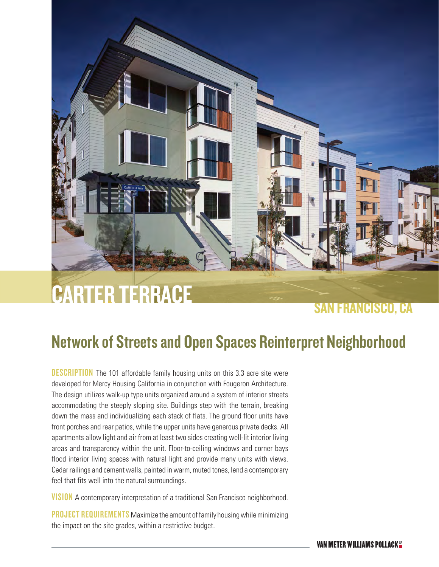# CARTER TERRACE

### SAN FRANCISCO, CA

## Network of Streets and Open Spaces Reinterpret Neighborhood

**DESCRIPTION** The 101 affordable family housing units on this 3.3 acre site were developed for Mercy Housing California in conjunction with Fougeron Architecture. The design utilizes walk-up type units organized around a system of interior streets accommodating the steeply sloping site. Buildings step with the terrain, breaking down the mass and individualizing each stack of flats. The ground floor units have front porches and rear patios, while the upper units have generous private decks. All apartments allow light and air from at least two sides creating well-lit interior living areas and transparency within the unit. Floor-to-ceiling windows and corner bays flood interior living spaces with natural light and provide many units with views. Cedar railings and cement walls, painted in warm, muted tones, lend a contemporary feel that fits well into the natural surroundings.

**VISION** A contemporary interpretation of a traditional San Francisco neighborhood.

**PROJECT REQUIREMENTS** Maximize the amount of family housing while minimizing the impact on the site grades, within a restrictive budget.